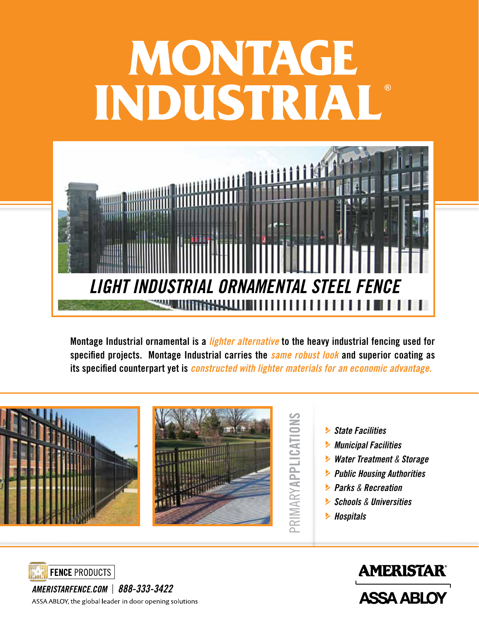# MONTAGE  $\circledR$ INDUSTRIAL



Montage Industrial ornamental is a *lighter alternative* to the heavy industrial fencing used for specified projects. Montage Industrial carries the *same robust look* and superior coating as its specified counterpart yet is *constructed with lighter materials for an economic advantage.*





PRIMARYAPPLICATIONS PRIMARYAPPLICATIONS

- *State Facilities* j
- *Municipal Facilities* j
- *Water Treatment & Storage* j
- *Public Housing Authorities* j
- *Parks & Recreation* j
- *Schools & Universities* j
- **Exercise 15 Hospitals**



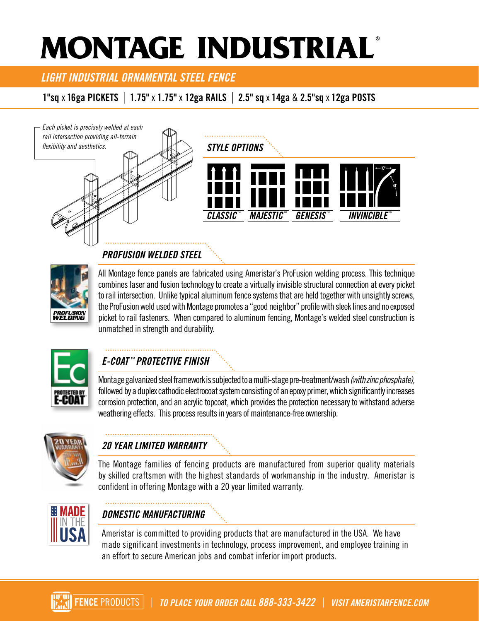# MONTAGE INDUSTRIAL®

### *LIGHT INDUSTRIAL ORNAMENTAL STEEL FENCE*

### 1"sq x 16ga PICKETS | 1.75" x 1.75" x 12ga RAILS | 2.5" sq x 14ga & 2.5"sq x 12ga POSTS



### *PROFUSION WELDED STEEL*



All Montage fence panels are fabricated using Ameristar's ProFusion welding process. This technique combines laser and fusion technology to create a virtually invisible structural connection at every picket to rail intersection. Unlike typical aluminum fence systems that are held together with unsightly screws, the ProFusion weld used with Montage promotes a "good neighbor" profile with sleek lines and no exposed picket to rail fasteners. When compared to aluminum fencing, Montage's welded steel construction is unmatched in strength and durability.



### *E-COAT* ™*PROTECTIVE FINISH*

Montage galvanized steel framework is subjected to a multi-stage pre-treatment/wash *(with zinc phosphate),*  followed by a duplex cathodic electrocoat system consisting of an epoxy primer, which significantly increases corrosion protection, and an acrylic topcoat, which provides the protection necessary to withstand adverse weathering effects. This process results in years of maintenance-free ownership.



### *20 YEAR LIMITED WARRANTY*

The Montage families of fencing products are manufactured from superior quality materials by skilled craftsmen with the highest standards of workmanship in the industry. Ameristar is confident in offering Montage with a 20 year limited warranty.



### *DOMESTIC MANUFACTURING*

Ameristar is committed to providing products that are manufactured in the USA. We have made significant investments in technology, process improvement, and employee training in an effort to secure American jobs and combat inferior import products.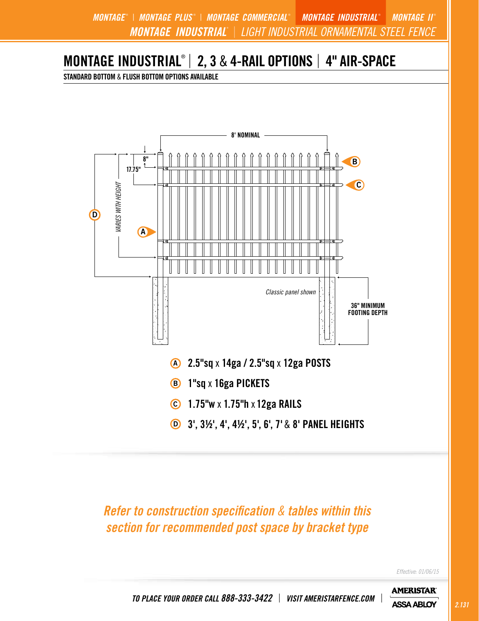### MONTAGE INDUSTRIAL® | 2, 3 & 4-RAIL OPTIONS | 4" AIR-SPACE

STANDARD BOTTOM & FLUSH BOTTOM OPTIONS AVAILABLE



*Refer to construction specification & tables within this section for recommended post space by bracket type*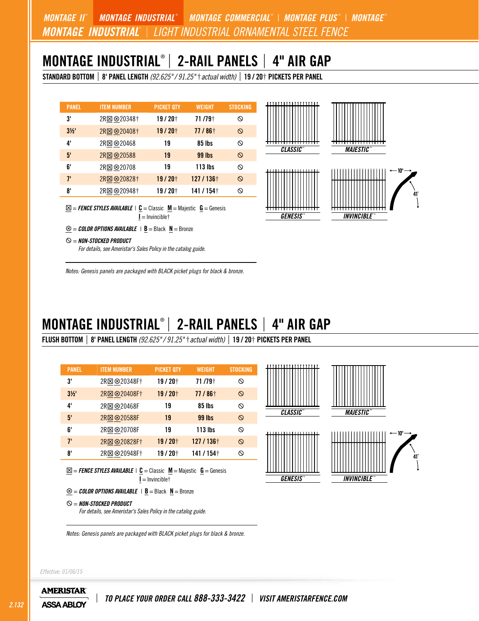### MONTAGE INDUSTRIAL® | 2-RAIL PANELS | 4" AIR GAP

STANDARD BOTTOM | 8' PANEL LENGTH *(92.625" / 91.25"* †*actual width)* | 19 / 20† PICKETS PER PANEL

| <b>PANEL</b>                                                                                                                                                 | <b>ITEM NUMBER</b>     | <b>PICKET QTY</b> | <b>WEIGHT</b>          | <b>STOCKING</b> |  |  |  |
|--------------------------------------------------------------------------------------------------------------------------------------------------------------|------------------------|-------------------|------------------------|-----------------|--|--|--|
| 3'                                                                                                                                                           | 2R図 <sup>820348†</sup> | $19/20^{+}$       | 71/79†                 | ര               |  |  |  |
| 3 <sup>1</sup>                                                                                                                                               | 2R図 <sup>820408†</sup> | $19/20^{+}$       | $77/86$ <sup>+</sup>   | $\circ$         |  |  |  |
| 4'                                                                                                                                                           | 2R図 820468             | 19                | 85 lbs                 | $\circ$         |  |  |  |
| 5 <sup>1</sup>                                                                                                                                               | 2R図 <sup>820588</sup>  | 19                | <b>99 lbs</b>          | $\circ$         |  |  |  |
| 6'                                                                                                                                                           | 2R図 820708             | 19                | $113$ lbs              | $\circ$         |  |  |  |
| 7'                                                                                                                                                           | 2R図 <sup>820828†</sup> | $19/20^{+}$       | $127/136$ <sup>+</sup> | $\circ$         |  |  |  |
| 8'                                                                                                                                                           | 2R図 <sup>820948†</sup> | $19/20^{+}$       | 141/154+               | $\circ$         |  |  |  |
| $\boxed{\boxtimes}$ = <b>FENCE STYLES AVAILABLE</b>   <b>C</b> = Classic $\boxed{\textbf{M}}$ = Majestic $\boxed{\textbf{G}}$ = Genesis<br>$I = Invincible†$ |                        |                   |                        |                 |  |  |  |



- $\mathcal{S} = \textit{COLOR OPTIONS AVAILABLE}$  | **B** = Black **N** = Bronze
- $\odot$  = *NON-STOCKED PRODUCT*

*For details, see Ameristar's Sales Policy in the catalog guide.*

*Notes: Genesis panels are packaged with BLACK picket plugs for black & bronze.* 

# MONTAGE INDUSTRIAL® | 2-RAIL PANELS | 4" AIR GAP

FLUSH BOTTOM | 8' PANEL LENGTH *(92.625" / 91.25"* †*actual width)* | 19 / 20† PICKETS PER PANEL

| <b>PANEL</b>   | <b>ITEM NUMBER</b>      | <b>PICKET QTY</b> | <b>WEIGHT</b>          | <b>STOCKING</b> |
|----------------|-------------------------|-------------------|------------------------|-----------------|
| 3'             | 2R図 820348F†            | 19 / 20†          | 71/79†                 | ര               |
| 3 <sup>1</sup> | 2R図 820408Ft            | $19/20^{+}$       | $77/86+$               | $\infty$        |
| 4'             | 2R⊠ ⊗20468F             | 19                | 85 lbs                 | ᠗               |
| 5'             | 2R図 820588F             | 19                | <b>99 lbs</b>          | $\Omega$        |
| 6'             | 2R⊠ ⊗20708F             | 19                | 113 lbs                | ல               |
| 7'             | 2R図 <sup>820828F†</sup> | $19/20^{+}$       | $127/136$ <sup>+</sup> | $\infty$        |
| 8'             | 2R図 <sup>820948F†</sup> | 19 / 20†          | 141/154 <sup>+</sup>   | ര               |
|                |                         |                   |                        |                 |

- $\underline{\boxtimes}$  = *FENCE STYLES AVAILABLE* | **C** = Classic  $\underline{M}$  = Majestic  $\underline{G}$  = Genesis  $I =$  Invincible  $\dagger$
- $\circledR = \textit{COLOR OPTIONS AVAILABLE}$  | **B** = Black **N** = Bronze
- $\bigcirc$  = *NON-STOCKED PRODUCT*

*For details, see Ameristar's Sales Policy in the catalog guide.*









*Notes: Genesis panels are packaged with BLACK picket plugs for black & bronze.* 

*Effective: 01/06/15*

**AMERISTAR ASSA ABLOY**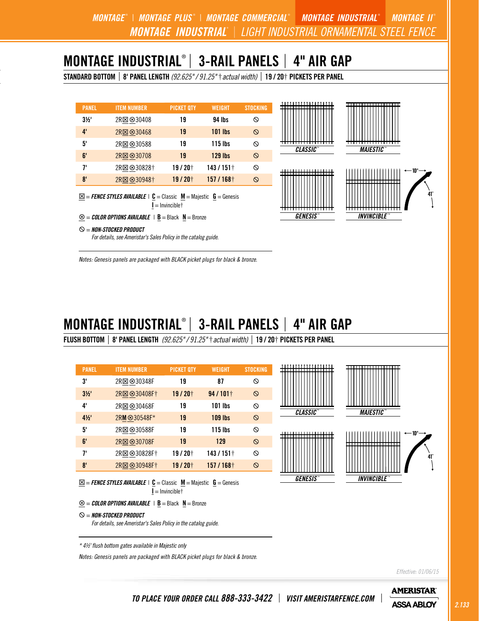

*Notes: Genesis panels are packaged with BLACK picket plugs for black & bronze.* 

# MONTAGE INDUSTRIAL® | 3-RAIL PANELS | 4" AIR GAP

FLUSH BOTTOM | 8' PANEL LENGTH *(92.625" / 91.25"* †*actual width)* | 19 / 20† PICKETS PER PANEL

| <b>PANEL</b>   | <b>ITEM NUMBER</b>      | <b>PICKET QTY</b> | <b>WEIGHT</b>          | <b>STOCKING</b> |
|----------------|-------------------------|-------------------|------------------------|-----------------|
| 3'             | 2R⊠ ⊗30348F             | 19                | 87                     | ര               |
| 3 <sup>1</sup> | 2R図 830408Ft            | $19/20^{+}$       | $94/101$ <sup>†</sup>  | $\circ$         |
| 4'             | 2R⊠ <sup>830468F</sup>  | 19                | 101 lbs                | $\infty$        |
| $4\frac{1}{2}$ | 2RM ⊗30548F*            | 19                | <b>109 lbs</b>         | $\circ$         |
| 5'             | 2R図 830588F             | 19                | $115$ lbs              | $\infty$        |
| 6'             | 2R図 830708F             | 19                | 129                    | $\Omega$        |
| 7'             | 2R図 830828F†            | $19/20^{+}$       | 143/151†               | $\infty$        |
| 8'             | 2R図 <sup>830948F+</sup> | $19/20^{+}$       | $157/168$ <sup>+</sup> | $\Omega$        |

 $\boxtimes$  = *FENCE STYLES AVAILABLE* | **C** = Classic  $M$  = Majestic **G** = Genesis  $I =$  Invincible†

 $\otimes$  = *COLOR OPTIONS AVAILABLE* | B = Black  $N$  = Bronze

*For details, see Ameristar's Sales Policy in the catalog guide.*

*\* 4½' flush bottom gates available in Majestic only*

*Notes: Genesis panels are packaged with BLACK picket plugs for black & bronze.* 









**INVINCIBLE** 

*Effective: 01/06/15*



 $\odot$  = *NON-STOCKED PRODUCT*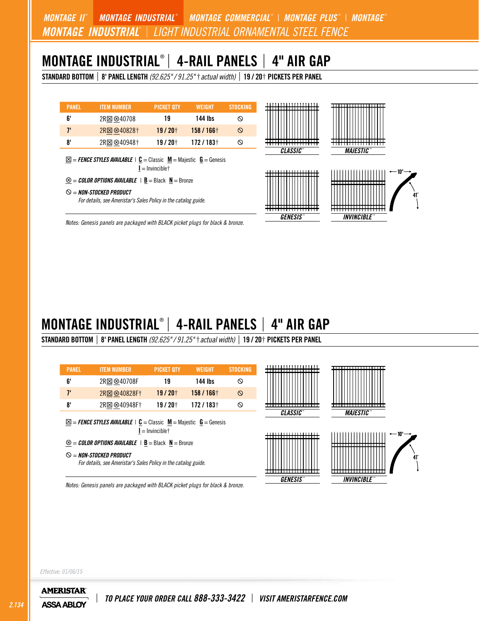### MONTAGE INDUSTRIAL® | 4-RAIL PANELS | 4" AIR GAP

STANDARD BOTTOM | 8' PANEL LENGTH *(92.625" / 91.25"* †*actual width)* | 19 / 20† PICKETS PER PANEL

| <b>PANEL</b>                                                                                  | <b>ITEM NUMBER</b>                                                                                              | <b>PICKET QTY</b> | <b>WEIGHT</b>        | <b>STOCKING</b> | ,,,,,,,,,,,,,,,,,,              |                          |
|-----------------------------------------------------------------------------------------------|-----------------------------------------------------------------------------------------------------------------|-------------------|----------------------|-----------------|---------------------------------|--------------------------|
| 6'                                                                                            | 2R図 840708                                                                                                      | 19                | 144 lbs              | $\circ$         |                                 |                          |
| 7'                                                                                            | 2R図 840828†                                                                                                     | $19/20^{+}$       | 158/166+             | $\circ$         |                                 |                          |
| 8'                                                                                            | 2R図 840948†                                                                                                     | $19/20^{+}$       | 172/183 <sup>+</sup> | ல               |                                 |                          |
|                                                                                               | $\boxed{\boxtimes}$ = <b>FENCE STYLES AVAILABLE</b>   <b>C</b> = Classic <b>M</b> = Majestic <b>G</b> = Genesis | $I = Invincible+$ |                      |                 |                                 |                          |
|                                                                                               | $\otimes$ = COLOR OPTIONS AVAILABLE   B = Black $N$ = Bronze                                                    |                   |                      |                 |                                 | <del>.</del>             |
| $Q = N/N$ -stocked product<br>For details, see Ameristar's Sales Policy in the catalog guide. |                                                                                                                 |                   |                      |                 | --------<br>------------------- |                          |
|                                                                                               |                                                                                                                 |                   |                      |                 | <i><b>GENESIS</b></i>           | <i><b>INVINCIBLE</b></i> |

*Notes: Genesis panels are packaged with BLACK picket plugs for black & bronze.* 

## MONTAGE INDUSTRIAL® | 4-RAIL PANELS | 4" AIR GAP

STANDARD BOTTOM | 8' PANEL LENGTH *(92.625" / 91.25"* †*actual width)* | 19 / 20† PICKETS PER PANEL



*Notes: Genesis panels are packaged with BLACK picket plugs for black & bronze.* 

*Effective: 01/06/15*

**AMERISTAR ASSA ABLOY**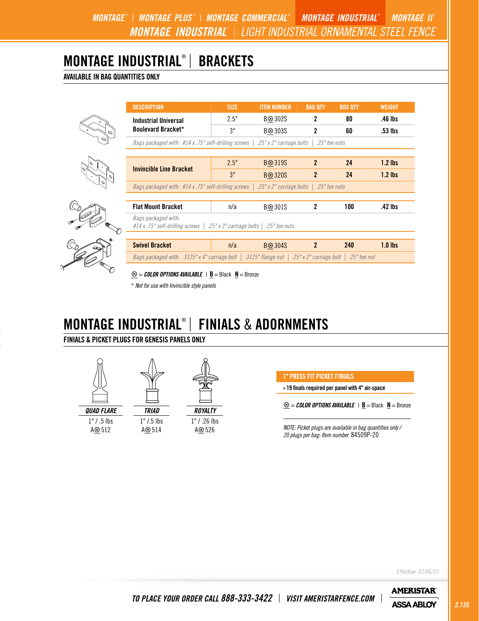DESCRIPTION SIZE ITEM NUMBER BAG QTY BOX QTY WEIGHT

### MONTAGE INDUSTRIAL® | BRACKETS

#### AVAILABLE IN BAG QUANTITIES ONLY







| Industrial Universal                                                                                               | 2.5" | B <sup><math>\otimes</math></sup> 302S         |                | 80  | .46 lbs   |  |  |  |  |  |
|--------------------------------------------------------------------------------------------------------------------|------|------------------------------------------------|----------------|-----|-----------|--|--|--|--|--|
| <b>Boulevard Bracket*</b>                                                                                          | 3"   | B⊗ 303S                                        | 2              | 60  | .53 lbs   |  |  |  |  |  |
| Bags packaged with: #14 x .75" self-drilling screws<br>.25" x 2" carriage bolts<br>.25" tee nuts                   |      |                                                |                |     |           |  |  |  |  |  |
|                                                                                                                    |      |                                                |                |     |           |  |  |  |  |  |
| <b>Invincible Line Bracket</b>                                                                                     | 2.5" | <b>B</b> ⊗ 319S                                | $\overline{2}$ | 24  | $1.2$ lbs |  |  |  |  |  |
|                                                                                                                    | 3"   | B <sup>®</sup> 320S                            | $\mathbf{2}$   | 24  | $1.2$ lbs |  |  |  |  |  |
| Bags packaged with: #14 x .75" self-drilling screws                                                                |      | .25" x 2" carriage bolts $\vert$ .25" tee nuts |                |     |           |  |  |  |  |  |
|                                                                                                                    |      |                                                |                |     |           |  |  |  |  |  |
| <b>Flat Mount Bracket</b>                                                                                          | n/a  | B <sup><math>\otimes</math></sup> 301S         | 2              | 100 | .42 lbs   |  |  |  |  |  |
| Bags packaged with:<br>$#14x.75"$ self-drilling screws<br>$.25"$ x 2" carriage bolts<br>.25" tee nuts              |      |                                                |                |     |           |  |  |  |  |  |
|                                                                                                                    |      |                                                |                |     |           |  |  |  |  |  |
| <b>Swivel Bracket</b>                                                                                              | n/a  | B <sup><math>\otimes</math></sup> 304S         | $\overline{2}$ | 240 | $1.0$ lbs |  |  |  |  |  |
| Bags packaged with: $.3125"$ x 4" carriage bolt   $.3125"$ flange nut   $.25"$ x 2" carriage bolt   $.25"$ tee nut |      |                                                |                |     |           |  |  |  |  |  |
|                                                                                                                    |      |                                                |                |     |           |  |  |  |  |  |

 $\mathcal{S} = \textit{COLOR OPTIONS AVAILABLE}$  | **B** = Black **N** = Bronze

\* *Not for use with Invincible style panels*

# MONTAGE INDUSTRIAL® | FINIALS & ADORNMENTS

#### FINIALS & PICKET PLUGS FOR GENESIS PANELS ONLY





#### 1" PRESS FIT PICKET FINIALS

» 19 finals required per panel with 4" air-space

 $\mathcal{L} = \mathcal{L}$ **OLOR OPTIONS AVAILABLE** | **B** = Black  $N =$  Bronze

*NOTE: Picket plugs are available in bag quantities only / 20 plugs per bag: Item number* 84509P-20

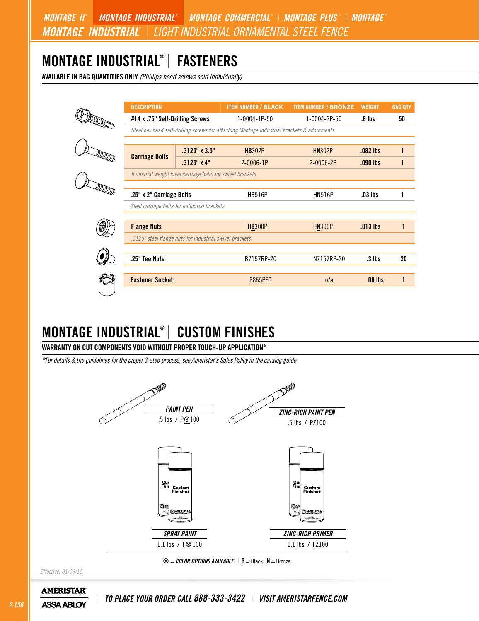### MONTAGE INDUSTRIAL® | FASTENERS

AVAILABLE IN BAG QUANTITIES ONLY *(Phillips head screws sold individually)* 

|                                                                                                                                                                                                                                                                                                                                                                                                                                                            | <b>DESCRIPTION</b>     |                 | <b>ITEM NUMBER / BLACK</b> | <b>ITEM NUMBER / BRONZE</b> |                                                                                                  | <b>BAG QTY</b> |
|------------------------------------------------------------------------------------------------------------------------------------------------------------------------------------------------------------------------------------------------------------------------------------------------------------------------------------------------------------------------------------------------------------------------------------------------------------|------------------------|-----------------|----------------------------|-----------------------------|--------------------------------------------------------------------------------------------------|----------------|
|                                                                                                                                                                                                                                                                                                                                                                                                                                                            |                        |                 |                            |                             |                                                                                                  |                |
|                                                                                                                                                                                                                                                                                                                                                                                                                                                            |                        |                 | 1-0004-1P-50               | 1-0004-2P-50                |                                                                                                  | 50             |
|                                                                                                                                                                                                                                                                                                                                                                                                                                                            |                        |                 |                            |                             |                                                                                                  |                |
|                                                                                                                                                                                                                                                                                                                                                                                                                                                            |                        |                 |                            |                             |                                                                                                  |                |
|                                                                                                                                                                                                                                                                                                                                                                                                                                                            |                        | $.3125"$ x 3.5" | <b>HB302P</b>              | <b>HN302P</b>               | $.082$ lbs                                                                                       |                |
|                                                                                                                                                                                                                                                                                                                                                                                                                                                            |                        | $.3125"$ x 4"   | $2 - 0006 - 1P$            | $2 - 0006 - 2P$             | <b>WEIGHT</b><br>.6 lbs<br>$.090$ lbs<br>$.03$ lbs<br>$.013$ lbs<br>.3 <sub>l</sub><br>$.06$ lbs |                |
|                                                                                                                                                                                                                                                                                                                                                                                                                                                            |                        |                 |                            |                             |                                                                                                  |                |
| #14 x .75" Self-Drilling Screws<br>Steel hex head self-drilling screws for attaching Montage Industrial brackets & adornments<br><b>Carriage Bolts</b><br>Industrial weight steel carriage bolts for swivel brackets<br>$\mathscr{L}\!\mathscr{D}\!\mathscr{D}\!\mathscr{D}$<br>.25" x 2" Carriage Bolts<br>Steel carriage bolts for industrial brackets<br><b>Flange Nuts</b><br>.3125" steel flange nuts for industrial swivel brackets<br>.25" Tee Nuts |                        |                 |                            |                             |                                                                                                  |                |
|                                                                                                                                                                                                                                                                                                                                                                                                                                                            |                        |                 | <b>HB516P</b>              | <b>HN516P</b>               |                                                                                                  |                |
|                                                                                                                                                                                                                                                                                                                                                                                                                                                            |                        |                 |                            |                             |                                                                                                  |                |
|                                                                                                                                                                                                                                                                                                                                                                                                                                                            |                        |                 |                            |                             |                                                                                                  |                |
|                                                                                                                                                                                                                                                                                                                                                                                                                                                            |                        |                 | <b>HB300P</b>              | <b>HN300P</b>               |                                                                                                  |                |
|                                                                                                                                                                                                                                                                                                                                                                                                                                                            |                        |                 |                            |                             |                                                                                                  |                |
|                                                                                                                                                                                                                                                                                                                                                                                                                                                            |                        |                 |                            |                             |                                                                                                  |                |
|                                                                                                                                                                                                                                                                                                                                                                                                                                                            |                        |                 | B7157RP-20                 | N7157RP-20                  |                                                                                                  | 20             |
|                                                                                                                                                                                                                                                                                                                                                                                                                                                            |                        |                 |                            |                             |                                                                                                  |                |
|                                                                                                                                                                                                                                                                                                                                                                                                                                                            | <b>Fastener Socket</b> |                 | 8865PFG                    | n/a                         |                                                                                                  |                |
|                                                                                                                                                                                                                                                                                                                                                                                                                                                            |                        |                 |                            |                             |                                                                                                  |                |

## MONTAGE INDUSTRIAL® | CUSTOM FINISHES

#### WARRANTY ON CUT COMPONENTS VOID WITHOUT PROPER TOUCH-UP APPLICATION\*

*\*For details & the guidelines for the proper 3-step process, see Ameristar's Sales Policy in the catalog guide*



*Effective: 01/06/15*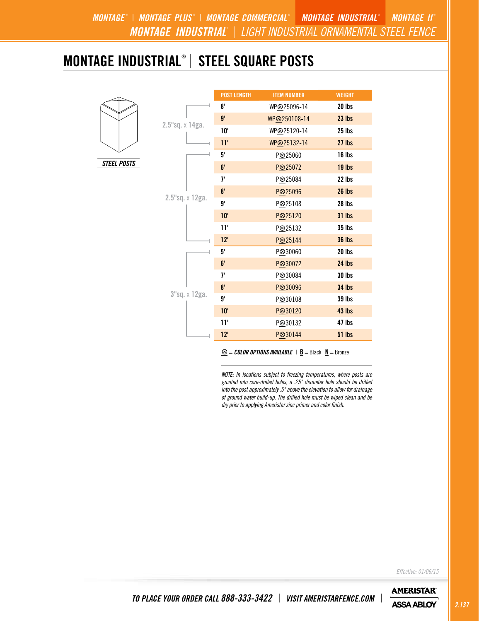### MONTAGE INDUSTRIAL® STEEL SQUARE POSTS

|                    |                           | <b>POST LENGTH</b> | <b>ITEM NUMBER</b>                                           | <b>WEIGHT</b> |
|--------------------|---------------------------|--------------------|--------------------------------------------------------------|---------------|
|                    |                           | 8'                 | WP <sup>⊗25096-14</sup>                                      | 20 lbs        |
|                    |                           | 9'                 | WP <sup>8250108-14</sup>                                     | 23 lbs        |
|                    | $2.5"$ sq. $\times$ 14ga. | $10^{\circ}$       | WP <sup>825120-14</sup>                                      | 25 lbs        |
|                    |                           | 11'                | WP@25132-14                                                  | 27 lbs        |
|                    |                           | 5 <sup>1</sup>     | P®25060                                                      | 16 lbs        |
| <b>STEEL POSTS</b> |                           | 6'                 | P <sup>®</sup> 25072                                         | 19 lbs        |
|                    |                           | 7'                 | P <sup>®25084</sup>                                          | 22 lbs        |
|                    |                           | 8 <sup>1</sup>     | P <sup>®25096</sup>                                          | 26 lbs        |
|                    | 2.5"sq. x 12ga.           | 9'                 | P <sup>®</sup> 25108                                         | 28 lbs        |
|                    |                           | $10^{\circ}$       | P <sup>®</sup> 25120                                         | $31$ lbs      |
|                    |                           | 11'                | P <sup>o25132</sup>                                          | <b>35 lbs</b> |
|                    |                           | 12'                | P <sup>®</sup> 25144                                         | <b>36 lbs</b> |
|                    |                           | 5 <sup>1</sup>     | P®30060                                                      | 20 lbs        |
|                    |                           | 6'                 | P <sup>®30072</sup>                                          | 24 lbs        |
|                    |                           | 7'                 | P <sup>®30084</sup>                                          | 30 lbs        |
|                    |                           | 8 <sup>1</sup>     | P <sup>®</sup> 30096                                         | 34 lbs        |
|                    | 3"sq. x 12ga.             | 9'                 | P <sup>®</sup> 30108                                         | <b>39 lbs</b> |
|                    |                           | $10^{\circ}$       | P <sup>®</sup> 30120                                         | 43 lbs        |
|                    |                           | 11'                | P®30132                                                      | 47 lbs        |
|                    |                           | $12$ '             | P <sup>®30144</sup>                                          | 51 lbs        |
|                    |                           |                    | $\otimes$ = COLOR OPTIONS AVAILABLE   B = Black $N$ = Bronze |               |

*NOTE: In locations subject to freezing temperatures, where posts are grouted into core-drilled holes, a .25" diameter hole should be drilled into the post approximately .5" above the elevation to allow for drainage of ground water build-up. The drilled hole must be wiped clean and be dry prior to applying Ameristar zinc primer and color finish.*

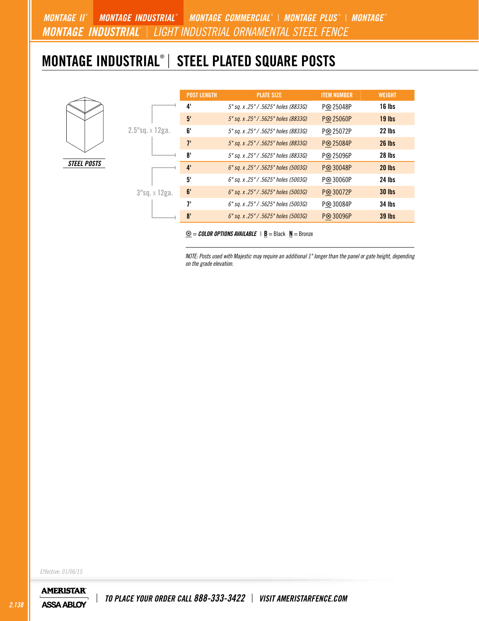### MONTAGE INDUSTRIAL® | STEEL PLATED SQUARE POSTS



|                 | <b>POST LENGTH</b> | <b>PLATE SIZE</b>                    | <b>ITEM NUMBER</b>    | <b>WEIGHT</b> |
|-----------------|--------------------|--------------------------------------|-----------------------|---------------|
|                 | 4'                 | 5" sq. x .25" / .5625" holes (8833G) | P <sup>®</sup> 25048P | 16 lbs        |
|                 | 5'                 | 5" sq. x .25" / .5625" holes (8833G) | P <sup>®</sup> 25060P | $19$ lbs      |
| 2.5"sq. x 12ga. | 6'                 | 5" sq. x .25" / .5625" holes (8833G) | P <sup>®</sup> 25072P | 22 lbs        |
|                 | T                  | 5" sq. x .25" / .5625" holes (8833G) | P <sup>⊗</sup> 25084P | 26 lbs        |
|                 | 8'                 | 5" sq. x .25" / .5625" holes (8833G) | P <sup>⊗</sup> 25096P | 28 lbs        |
|                 | $4^{\circ}$        | 6" sq. x .25" / .5625" holes (5003G) | P <sup>®</sup> 30048P | 20 lbs        |
|                 | 5'                 | 6" sq. x .25" / .5625" holes (5003G) | P <sup>®</sup> 30060P | 24 lbs        |
| 3"sq. x 12ga.   | 6'                 | 6" sq. x .25" / .5625" holes (5003G) | P <sup>⊗</sup> 30072P | 30 lbs        |
|                 | 7'                 | 6" sq. x .25" / .5625" holes (5003G) | P <sup>®</sup> 30084P | 34 lbs        |
|                 | 8'                 | 6" sq. x .25" / .5625" holes (5003G) | P <sup>®</sup> 30096P | <b>39 lbs</b> |
|                 |                    |                                      |                       |               |

 $\mathcal{L} = \mathcal{L}$ OLOR OPTIONS AVAILABLE |  $\underline{B} =$  Black  $\underline{N} =$  Bronze

*NOTE: Posts used with Majestic may require an additional 1" longer than the panel or gate height, depending on the grade elevation.*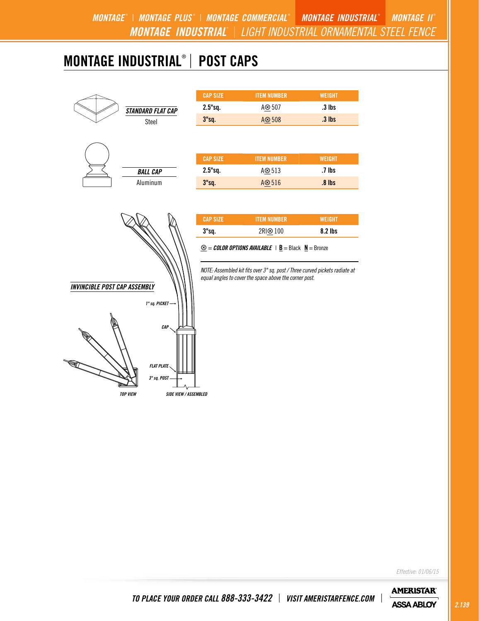### MONTAGE INDUSTRIAL® | POST CAPS



*Effective: 01/06/15*

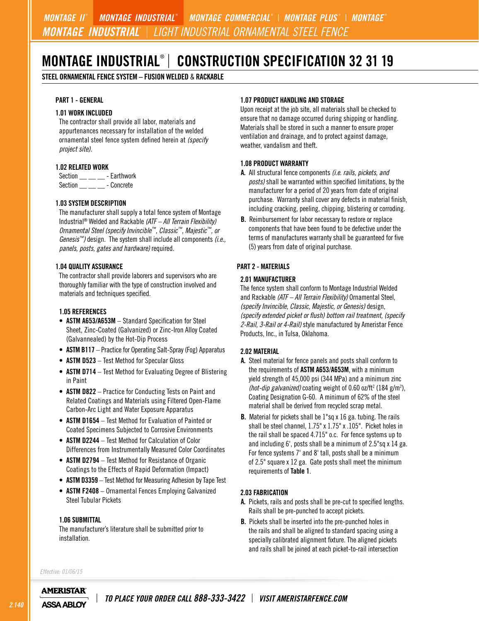### MONTAGE INDUSTRIAL® | CONSTRUCTION SPECIFICATION 32 31 19

STEEL ORNAMENTAL FENCE SYSTEM – FUSION WELDED & RACKABLE

#### PART 1 - GENERAL

#### 1.01 WORK INCLUDED

The contractor shall provide all labor, materials and appurtenances necessary for installation of the welded ornamental steel fence system defined herein at *(specify project site).*

#### 1.02 RELATED WORK

| Section | - Earthwork |
|---------|-------------|
| Section | - Concrete  |

#### 1.03 SYSTEM DESCRIPTION

The manufacturer shall supply a total fence system of Montage Industrial® Welded and Rackable *(ATF – All Terrain Flexibility) Ornamental Steel (specify Invincible™, Classic™, Majestic™, or Genesis™)* design. The system shall include all components *(i.e., panels, posts, gates and hardware)* required.

#### 1.04 QUALITY ASSURANCE

The contractor shall provide laborers and supervisors who are thoroughly familiar with the type of construction involved and materials and techniques specified.

#### 1.05 REFERENCES

- ASTM A653/A653M Standard Specification for Steel Sheet, Zinc-Coated (Galvanized) or Zinc-Iron Alloy Coated (Galvannealed) by the Hot-Dip Process
- ASTM B117 Practice for Operating Salt-Spray (Fog) Apparatus
- ASTM D523 Test Method for Specular Gloss
- ASTM D714 Test Method for Evaluating Degree of Blistering in Paint
- ASTM D822 Practice for Conducting Tests on Paint and Related Coatings and Materials using Filtered Open-Flame Carbon-Arc Light and Water Exposure Apparatus
- ASTM D1654 Test Method for Evaluation of Painted or Coated Specimens Subjected to Corrosive Environments
- ASTM D2244 Test Method for Calculation of Color Differences from Instrumentally Measured Color Coordinates
- ASTM D2794 Test Method for Resistance of Organic Coatings to the Effects of Rapid Deformation (Impact)
- ASTM D3359 Test Method for Measuring Adhesion by Tape Test
- ASTM F2408 Ornamental Fences Employing Galvanized Steel Tubular Pickets

#### 1.06 SUBMITTAL

The manufacturer's literature shall be submitted prior to installation.

#### 1.07 PRODUCT HANDLING AND STORAGE

Upon receipt at the job site, all materials shall be checked to ensure that no damage occurred during shipping or handling. Materials shall be stored in such a manner to ensure proper ventilation and drainage, and to protect against damage, weather, vandalism and theft.

#### 1.08 PRODUCT WARRANTY

- A. All structural fence components *(i.e. rails, pickets, and posts)* shall be warranted within specified limitations, by the manufacturer for a period of 20 years from date of original purchase. Warranty shall cover any defects in material finish, including cracking, peeling, chipping, blistering or corroding.
- **B.** Reimbursement for labor necessary to restore or replace components that have been found to be defective under the terms of manufactures warranty shall be guaranteed for five (5) years from date of original purchase.

#### PART 2 - MATERIALS

#### 2.01 MANUFACTURER

The fence system shall conform to Montage Industrial Welded and Rackable *(ATF – All Terrain Flexibility)* Ornamental Steel, *(specify Invincible, Classic, Majestic, or Genesis)* design, *(specify extended picket or flush) bottom rail treatment, (specify 2-Rail, 3-Rail or 4-Rail)* style manufactured by Ameristar Fence Products, Inc., in Tulsa, Oklahoma.

#### 2.02 MATERIAL

- A. Steel material for fence panels and posts shall conform to the requirements of ASTM A653/A653M, with a minimum yield strength of 45,000 psi (344 MPa) and a minimum zinc (hot-dip galvanized) coating weight of  $0.60$  oz/ft<sup>2</sup> (184 g/m<sup>2</sup>), Coating Designation G-60. A minimum of 62% of the steel material shall be derived from recycled scrap metal.
- **B.** Material for pickets shall be 1"sq x 16 ga. tubing. The rails shall be steel channel, 1.75" x 1.75" x .105". Picket holes in the rail shall be spaced 4.715" o.c. For fence systems up to and including 6', posts shall be a minimum of 2.5"sq x 14 ga. For fence systems 7' and 8' tall, posts shall be a minimum of 2.5" square x 12 ga. Gate posts shall meet the minimum requirements of Table 1.

#### 2.03 FABRICATION

- A. Pickets, rails and posts shall be pre-cut to specified lengths. Rails shall be pre-punched to accept pickets.
- B. Pickets shall be inserted into the pre-punched holes in the rails and shall be aligned to standard spacing using a specially calibrated alignment fixture. The aligned pickets and rails shall be joined at each picket-to-rail intersection

*Effective: 01/06/15*

**AMERISTAR ASSA ABLOY**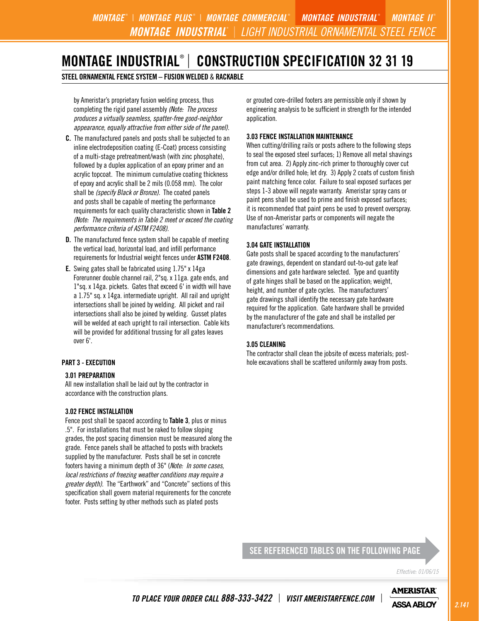### MONTAGE INDUSTRIAL® | CONSTRUCTION SPECIFICATION 32 31 19

#### STEEL ORNAMENTAL FENCE SYSTEM – FUSION WELDED & RACKABLE

by Ameristar's proprietary fusion welding process, thus completing the rigid panel assembly *(Note: The process produces a virtually seamless, spatter-free good-neighbor appearance, equally attractive from either side of the panel).*

- C. The manufactured panels and posts shall be subjected to an inline electrodeposition coating (E-Coat) process consisting of a multi-stage pretreatment/wash (with zinc phosphate), followed by a duplex application of an epoxy primer and an acrylic topcoat. The minimum cumulative coating thickness of epoxy and acrylic shall be 2 mils (0.058 mm). The color shall be *(specify Black or Bronze).* The coated panels and posts shall be capable of meeting the performance requirements for each quality characteristic shown in Table 2 *(Note: The requirements in Table 2 meet or exceed the coating performance criteria of ASTM F2408).*
- D. The manufactured fence system shall be capable of meeting the vertical load, horizontal load, and infill performance requirements for Industrial weight fences under ASTM F2408.
- E. Swing gates shall be fabricated using 1.75" x 14ga Forerunner double channel rail, 2"sq. x 11ga. gate ends, and 1"sq. x 14ga. pickets. Gates that exceed 6' in width will have a 1.75" sq. x 14ga. intermediate upright. All rail and upright intersections shall be joined by welding. All picket and rail intersections shall also be joined by welding. Gusset plates will be welded at each upright to rail intersection. Cable kits will be provided for additional trussing for all gates leaves over 6'.

#### PART 3 - EXECUTION

#### 3.01 PREPARATION

All new installation shall be laid out by the contractor in accordance with the construction plans.

#### 3.02 FENCE INSTALLATION

Fence post shall be spaced according to Table 3, plus or minus .5". For installations that must be raked to follow sloping grades, the post spacing dimension must be measured along the grade. Fence panels shall be attached to posts with brackets supplied by the manufacturer. Posts shall be set in concrete footers having a minimum depth of 36" (*Note: In some cases, local restrictions of freezing weather conditions may require a greater depth).* The "Earthwork" and "Concrete" sections of this specification shall govern material requirements for the concrete footer. Posts setting by other methods such as plated posts

or grouted core-drilled footers are permissible only if shown by engineering analysis to be sufficient in strength for the intended application.

#### 3.03 FENCE INSTALLATION MAINTENANCE

When cutting/drilling rails or posts adhere to the following steps to seal the exposed steel surfaces; 1) Remove all metal shavings from cut area. 2) Apply zinc-rich primer to thoroughly cover cut edge and/or drilled hole; let dry. 3) Apply 2 coats of custom finish paint matching fence color. Failure to seal exposed surfaces per steps 1-3 above will negate warranty. Ameristar spray cans or paint pens shall be used to prime and finish exposed surfaces; it is recommended that paint pens be used to prevent overspray. Use of non-Ameristar parts or components will negate the manufactures' warranty.

#### 3.04 GATE INSTALLATION

Gate posts shall be spaced according to the manufacturers' gate drawings, dependent on standard out-to-out gate leaf dimensions and gate hardware selected. Type and quantity of gate hinges shall be based on the application; weight, height, and number of gate cycles. The manufacturers' gate drawings shall identify the necessary gate hardware required for the application. Gate hardware shall be provided by the manufacturer of the gate and shall be installed per manufacturer's recommendations.

#### 3.05 CLEANING

The contractor shall clean the jobsite of excess materials; posthole excavations shall be scattered uniformly away from posts.

SEE REFERENCED TABLES ON THE FOLLOWING PAGE

*Effective: 01/06/15*

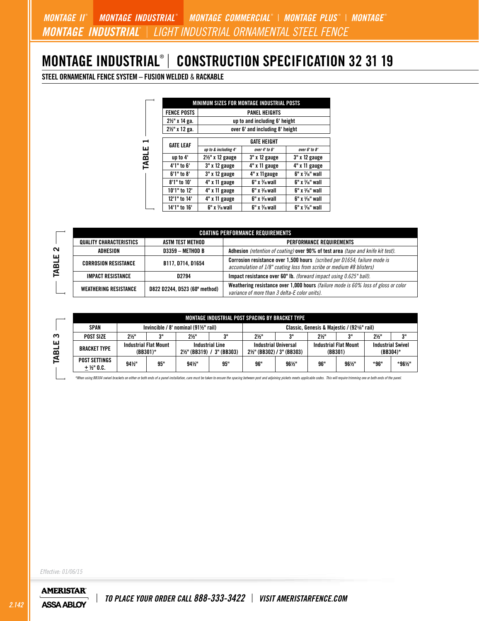### MONTAGE INDUSTRIAL® | CONSTRUCTION SPECIFICATION 32 31 19

STEEL ORNAMENTAL FENCE SYSTEM – FUSION WELDED & RACKABLE

|       |                    |                                 | MINIMUM SIZES FOR MONTAGE INDUSTRIAL POSTS |                               |  |  |  |  |
|-------|--------------------|---------------------------------|--------------------------------------------|-------------------------------|--|--|--|--|
|       | <b>FENCE POSTS</b> |                                 | <b>PANEL HEIGHTS</b>                       |                               |  |  |  |  |
|       | 21/2" x 14 ga.     |                                 | up to and including 6' height              |                               |  |  |  |  |
|       | 21/2" x 12 ga.     | over 6' and including 8' height |                                            |                               |  |  |  |  |
| ᆸ     | <b>GATE LEAF</b>   | <b>GATE HEIGHT</b>              |                                            |                               |  |  |  |  |
|       |                    | up to & including 4'            | over 4' to 6'                              | over 6' to 8'                 |  |  |  |  |
| TABLE | up to 4'           | 21/2" x 12 gauge                | $3"$ x 12 gauge                            | 3" x 12 gauge                 |  |  |  |  |
|       | 4'1" to 6'         | $3"$ x 12 gauge                 | $4"$ x 11 gauge                            | $4"$ x 11 gauge               |  |  |  |  |
|       | 6'1" to 8'         | $3"$ x 12 gauge                 | 4" x 11 gauge                              | $6''$ x $3/16''$ wall         |  |  |  |  |
|       | 8'1" to 10'        | 4" x 11 gauge                   | $6"$ x $\frac{3}{16}$ wall                 | $6''$ x $\frac{3}{16}''$ wall |  |  |  |  |
|       | 10'1" to 12'       | $4"$ x 11 gauge                 | $6"$ x $\frac{3}{16}$ wall                 | $6''$ x $3/16''$ wall         |  |  |  |  |
|       | 12'1" to 14'       | 4" x 11 gauge                   | $6"$ x $\frac{3}{16}$ wall                 | $6"$ x $\frac{3}{16}"$ wall   |  |  |  |  |
|       | 14'1" to 16'       | $6"$ x $\frac{3}{16}$ wall      | $6"$ x $\frac{3}{16}$ wall                 | $6''$ x $\frac{3}{16}''$ wall |  |  |  |  |

|   |                              | <b>COATING PERFORMANCE REQUIREMENTS</b> |                                                                                                                                                   |  |  |  |  |
|---|------------------------------|-----------------------------------------|---------------------------------------------------------------------------------------------------------------------------------------------------|--|--|--|--|
|   | QUALITY CHARACTERISTICS      | <b>ASTM TEST METHOD</b>                 | <b>PERFORMANCE REQUIREMENTS</b>                                                                                                                   |  |  |  |  |
| N | ADHESION                     | $D3359 - METHOD B$                      | Adhesion (retention of coating) over 90% of test area (tape and knife kit test).                                                                  |  |  |  |  |
| 닖 | <b>CORROSION RESISTANCE</b>  | B117, D714, D1654                       | Corrosion resistance over 1,500 hours (scribed per D1654; failure mode is<br>accumulation of 1/8" coating loss from scribe or medium #8 blisters) |  |  |  |  |
| ₹ | <b>IMPACT RESISTANCE</b>     | D2794                                   | Impact resistance over 60" lb. (forward impact using 0.625" ball).                                                                                |  |  |  |  |
|   | <b>WEATHERING RESISTANCE</b> | D822 D2244, D523 (60° method)           | Weathering resistance over 1,000 hours (failure mode is 60% loss of gloss or color<br>variance of more than 3 delta-E color units).               |  |  |  |  |

|        | MONTAGE INDUSTRIAL POST SPACING BY BRACKET TYPE |                                             |     |                                                               |     |                                                         |        |                                                                                    |        |                  |         |
|--------|-------------------------------------------------|---------------------------------------------|-----|---------------------------------------------------------------|-----|---------------------------------------------------------|--------|------------------------------------------------------------------------------------|--------|------------------|---------|
|        | <b>SPAN</b>                                     | Invincible / 8' nominal (91½" rail)         |     |                                                               |     | Classic, Genesis & Majestic / (92%" rail)               |        |                                                                                    |        |                  |         |
| ო      | <b>POST SIZE</b>                                | $21/2$ "                                    | ייפ | $2\frac{1}{2}$ "                                              | יומ | $2\frac{1}{2}$ "                                        | יי     | $2\frac{1}{2}$                                                                     | ייפ    | $2\frac{1}{2}$ " | 3"      |
| ш<br>≃ | <b>BRACKET TYPE</b>                             | <b>Industrial Flat Mount</b><br>$(BB301)^*$ |     | <b>Industrial Line</b><br>$2\frac{1}{2}$ (BB319) / 3" (BB303) |     | <b>Industrial Universal</b><br>2½" (BB302) / 3" (BB303) |        | <b>Industrial Swivel</b><br><b>Industrial Flat Mount</b><br>$(BB304)$ *<br>(BB301) |        |                  |         |
| ⋖      | <b>POST SETTINGS</b><br>$+$ ½" 0.C.             | 941/2"                                      | 95" | $94\frac{1}{2}$                                               | 95" | 96"                                                     | 961⁄2" | 96"                                                                                | 961⁄2" | *96"             | *961⁄2" |

\*When using BB304 swivel brackets on either or both ends of a panel installation, care must be taken to ensure the spacing between post and adjoining pickets meets applicable codes. This will require trimming one or both e

*Effective: 01/06/15*

**AMERISTAR® ASSA ABLOY**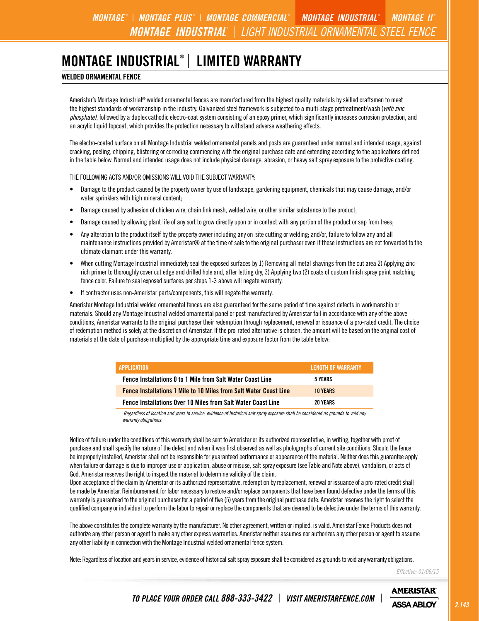### MONTAGE INDUSTRIAL® | LIMITED WARRANTY

#### WELDED ORNAMENTAL FENCE

Ameristar's Montage Industrial® welded ornamental fences are manufactured from the highest quality materials by skilled craftsmen to meet the highest standards of workmanship in the industry. Galvanized steel framework is subjected to a multi-stage pretreatment/wash (*with zinc phosphate)*, followed by a duplex cathodic electro-coat system consisting of an epoxy primer, which significantly increases corrosion protection, and an acrylic liquid topcoat, which provides the protection necessary to withstand adverse weathering effects.

The electro-coated surface on all Montage Industrial welded ornamental panels and posts are guaranteed under normal and intended usage, against cracking, peeling, chipping, blistering or corroding commencing with the original purchase date and extending according to the applications defined in the table below. Normal and intended usage does not include physical damage, abrasion, or heavy salt spray exposure to the protective coating.

THE FOLLOWING ACTS AND/OR OMISSIONS WILL VOID THE SUBJECT WARRANTY:

- Damage to the product caused by the property owner by use of landscape, gardening equipment, chemicals that may cause damage, and/or water sprinklers with high mineral content;
- Damage caused by adhesion of chicken wire, chain link mesh, welded wire, or other similar substance to the product;
- Damage caused by allowing plant life of any sort to grow directly upon or in contact with any portion of the product or sap from trees;
- Any alteration to the product itself by the property owner including any on-site cutting or welding; and/or, failure to follow any and all maintenance instructions provided by Ameristar® at the time of sale to the original purchaser even if these instructions are not forwarded to the ultimate claimant under this warranty.
- When cutting Montage Industrial immediately seal the exposed surfaces by 1) Removing all metal shavings from the cut area 2) Applying zincrich primer to thoroughly cover cut edge and drilled hole and, after letting dry, 3) Applying two (2) coats of custom finish spray paint matching fence color. Failure to seal exposed surfaces per steps 1-3 above will negate warranty.
- If contractor uses non-Ameristar parts/components, this will negate the warranty.

Ameristar Montage Industrial welded ornamental fences are also guaranteed for the same period of time against defects in workmanship or materials. Should any Montage Industrial welded ornamental panel or post manufactured by Ameristar fail in accordance with any of the above conditions, Ameristar warrants to the original purchaser their redemption through replacement, renewal or issuance of a pro-rated credit. The choice of redemption method is solely at the discretion of Ameristar. If the pro-rated alternative is chosen, the amount will be based on the original cost of materials at the date of purchase multiplied by the appropriate time and exposure factor from the table below:

| APPLICATION                                                              | <b>LENGTH OF WARRANTY</b> |
|--------------------------------------------------------------------------|---------------------------|
| <b>Fence Installations 0 to 1 Mile from Salt Water Coast Line</b>        | 5 YEARS                   |
| <b>Fence Installations 1 Mile to 10 Miles from Salt Water Coast Line</b> | <b>10 YEARS</b>           |
| <b>Fence Installations Over 10 Miles from Salt Water Coast Line</b>      | 20 YEARS                  |

 *Regardless of location and years in service, evidence of historical salt spray exposure shall be considered as grounds to void any warranty obligations.*

Notice of failure under the conditions of this warranty shall be sent to Ameristar or its authorized representative, in writing, together with proof of purchase and shall specify the nature of the defect and when it was first observed as well as photographs of current site conditions. Should the fence be improperly installed, Ameristar shall not be responsible for guaranteed performance or appearance of the material. Neither does this guarantee apply when failure or damage is due to improper use or application, abuse or misuse, salt spray exposure (see Table and Note above), vandalism, or acts of God. Ameristar reserves the right to inspect the material to determine validity of the claim.

Upon acceptance of the claim by Ameristar or its authorized representative, redemption by replacement, renewal or issuance of a pro-rated credit shall be made by Ameristar. Reimbursement for labor necessary to restore and/or replace components that have been found defective under the terms of this warranty is guaranteed to the original purchaser for a period of five (5) years from the original purchase date. Ameristar reserves the right to select the qualified company or individual to perform the labor to repair or replace the components that are deemed to be defective under the terms of this warranty.

The above constitutes the complete warranty by the manufacturer. No other agreement, written or implied, is valid. Ameristar Fence Products does not authorize any other person or agent to make any other express warranties. Ameristar neither assumes nor authorizes any other person or agent to assume any other liability in connection with the Montage Industrial welded ornamental fence system.

Note: Regardless of location and years in service, evidence of historical salt spray exposure shall be considered as grounds to void any warranty obligations.

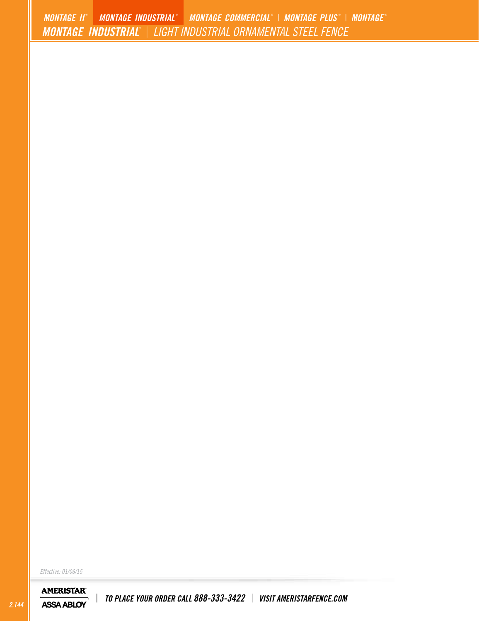*Effective: 01/06/15*

**AMERISTAR®**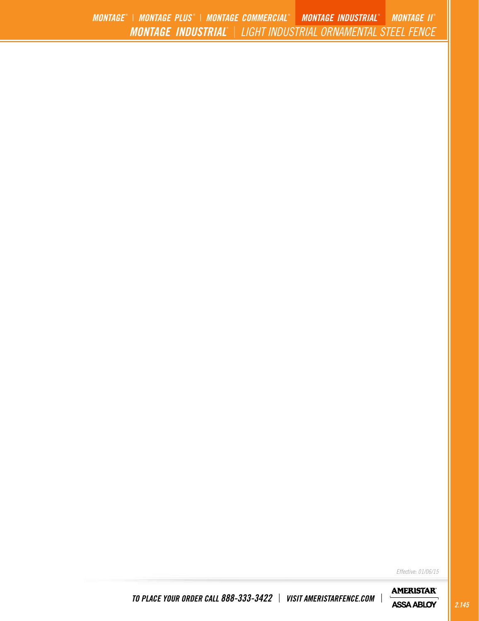*Effective: 01/06/15*